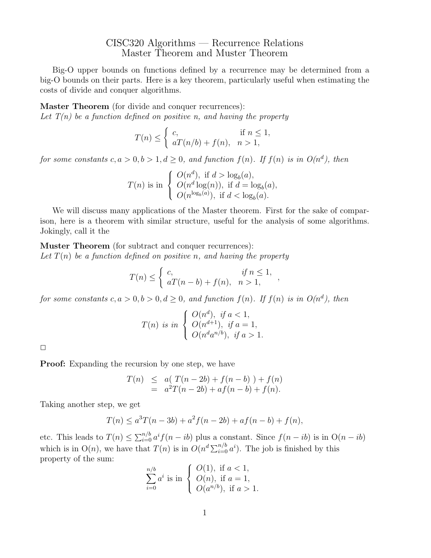## CISC320 Algorithms — Recurrence Relations Master Theorem and Muster Theorem

Big-O upper bounds on functions defined by a recurrence may be determined from a big-O bounds on their parts. Here is a key theorem, particularly useful when estimating the costs of divide and conquer algorithms.

Master Theorem (for divide and conquer recurrences): Let  $T(n)$  be a function defined on positive n, and having the property

$$
T(n) \leq \begin{cases} c, & \text{if } n \leq 1, \\ aT(n/b) + f(n), & n > 1, \end{cases}
$$

for some constants  $c, a > 0, b > 1, d \ge 0$ , and function  $f(n)$ . If  $f(n)$  is in  $O(n^d)$ , then

$$
T(n) \text{ is in } \begin{cases} O(n^d), \text{ if } d > \log_b(a), \\ O(n^d \log(n)), \text{ if } d = \log_b(a), \\ O(n^{\log_b(a)}), \text{ if } d < \log_b(a). \end{cases}
$$

We will discuss many applications of the Master theorem. First for the sake of comparison, here is a theorem with similar structure, useful for the analysis of some algorithms. Jokingly, call it the

Muster Theorem (for subtract and conquer recurrences): Let  $T(n)$  be a function defined on positive n, and having the property

$$
T(n) \leq \begin{cases} c, & \text{if } n \leq 1, \\ aT(n-b) + f(n), & n > 1, \end{cases}
$$

,

for some constants  $c, a > 0, b > 0, d \ge 0$ , and function  $f(n)$ . If  $f(n)$  is in  $O(n^d)$ , then

$$
T(n) \text{ is in } \begin{cases} O(n^d), \text{ if } a < 1, \\ O(n^{d+1}), \text{ if } a = 1, \\ O(n^d a^{n/b}), \text{ if } a > 1. \end{cases}
$$

 $\Box$ 

**Proof:** Expanding the recursion by one step, we have

$$
T(n) \leq a(T(n-2b) + f(n-b)) + f(n)
$$
  
=  $a^2T(n-2b) + af(n-b) + f(n)$ .

Taking another step, we get

$$
T(n) \le a^3 T(n - 3b) + a^2 f(n - 2b) + af(n - b) + f(n),
$$

etc. This leads to  $T(n) \leq \sum_{i=0}^{n/b} a^i f(n - ib)$  plus a constant. Since  $f(n - ib)$  is in  $O(n - ib)$ which is in  $O(n)$ , we have that  $T(n)$  is in  $O(n^d \sum_{i=0}^{n/b} a^i)$ . The job is finished by this property of the sum:

$$
\sum_{i=0}^{n/b} a^i \text{ is in } \begin{cases} O(1), \text{ if } a < 1, \\ O(n), \text{ if } a = 1, \\ O(a^{n/b}), \text{ if } a > 1. \end{cases}
$$